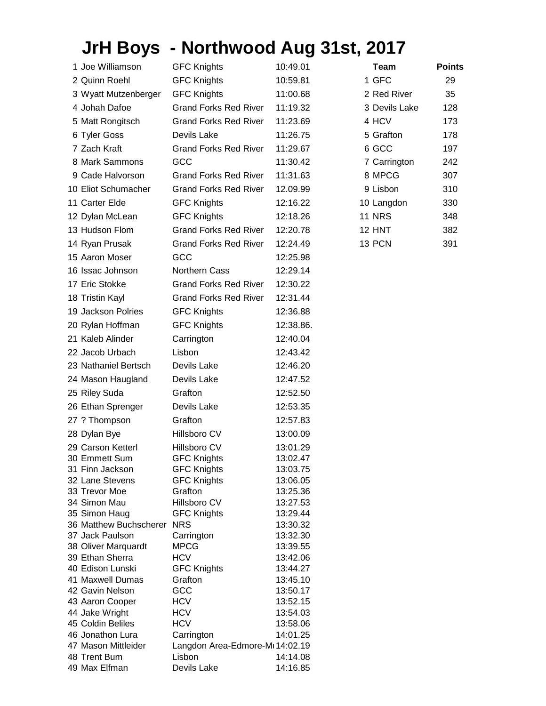## **JrH Boys - Northwood Aug 31st, 2017**

| 1 Joe Williamson                              | <b>GFC Knights</b>                        | 10:49.01             | Team          | <b>Points</b> |
|-----------------------------------------------|-------------------------------------------|----------------------|---------------|---------------|
| 2 Quinn Roehl                                 | <b>GFC Knights</b>                        | 10:59.81             | 1 GFC         | 29            |
| 3 Wyatt Mutzenberger                          | <b>GFC Knights</b>                        | 11:00.68             | 2 Red River   | 35            |
| 4 Johah Dafoe                                 | <b>Grand Forks Red River</b>              | 11:19.32             | 3 Devils Lake | 128           |
| 5 Matt Rongitsch                              | <b>Grand Forks Red River</b>              | 11:23.69             | 4 HCV         | 173           |
| 6 Tyler Goss                                  | Devils Lake                               | 11:26.75             | 5 Grafton     | 178           |
|                                               |                                           |                      |               |               |
| 7 Zach Kraft                                  | <b>Grand Forks Red River</b>              | 11:29.67             | 6 GCC         | 197           |
| 8 Mark Sammons                                | GCC                                       | 11:30.42             | 7 Carrington  | 242           |
| 9 Cade Halvorson                              | <b>Grand Forks Red River</b>              | 11:31.63             | 8 MPCG        | 307           |
| 10 Eliot Schumacher                           | <b>Grand Forks Red River</b>              | 12.09.99             | 9 Lisbon      | 310           |
| 11 Carter Elde                                | <b>GFC Knights</b>                        | 12:16.22             | 10 Langdon    | 330           |
| 12 Dylan McLean                               | <b>GFC Knights</b>                        | 12:18.26             | <b>11 NRS</b> | 348           |
| 13 Hudson Flom                                | <b>Grand Forks Red River</b>              | 12:20.78             | 12 HNT        | 382           |
| 14 Ryan Prusak                                | <b>Grand Forks Red River</b>              | 12:24.49             | 13 PCN        | 391           |
| 15 Aaron Moser                                | GCC                                       | 12:25.98             |               |               |
| 16 Issac Johnson                              | Northern Cass                             | 12:29.14             |               |               |
|                                               |                                           |                      |               |               |
| 17 Eric Stokke                                | <b>Grand Forks Red River</b>              | 12:30.22             |               |               |
| 18 Tristin Kayl                               | <b>Grand Forks Red River</b>              | 12:31.44             |               |               |
| 19 Jackson Polries                            | <b>GFC Knights</b>                        | 12:36.88             |               |               |
| 20 Rylan Hoffman                              | <b>GFC Knights</b>                        | 12:38.86.            |               |               |
| 21 Kaleb Alinder                              | Carrington                                | 12:40.04             |               |               |
| 22 Jacob Urbach                               | Lisbon                                    | 12:43.42             |               |               |
| 23 Nathaniel Bertsch                          | Devils Lake                               | 12:46.20             |               |               |
| 24 Mason Haugland                             | Devils Lake                               | 12:47.52             |               |               |
| 25 Riley Suda                                 | Grafton                                   | 12:52.50             |               |               |
| 26 Ethan Sprenger                             | Devils Lake                               | 12:53.35             |               |               |
| 27 ? Thompson                                 | Grafton                                   | 12:57.83             |               |               |
| 28 Dylan Bye                                  | Hillsboro CV                              | 13:00.09             |               |               |
| 29 Carson Ketterl                             | Hillsboro CV                              | 13:01.29             |               |               |
| 30 Emmett Sum                                 | <b>GFC Knights</b>                        | 13:02.47             |               |               |
| 31 Finn Jackson                               | <b>GFC Knights</b>                        | 13:03.75             |               |               |
| 32 Lane Stevens                               | <b>GFC Knights</b>                        | 13:06.05             |               |               |
| 33 Trevor Moe                                 | Grafton                                   | 13:25.36             |               |               |
| 34 Simon Mau                                  | Hillsboro CV                              | 13:27.53             |               |               |
| 35 Simon Haug                                 | <b>GFC Knights</b>                        | 13:29.44             |               |               |
| 36 Matthew Buchscherer NRS<br>37 Jack Paulson | Carrington                                | 13:30.32<br>13:32.30 |               |               |
| 38 Oliver Marquardt                           | <b>MPCG</b>                               | 13:39.55             |               |               |
| 39 Ethan Sherra                               | <b>HCV</b>                                | 13:42.06             |               |               |
| 40 Edison Lunski                              | <b>GFC Knights</b>                        | 13:44.27             |               |               |
| 41 Maxwell Dumas                              | Grafton                                   | 13:45.10             |               |               |
| 42 Gavin Nelson                               | GCC                                       | 13:50.17             |               |               |
| 43 Aaron Cooper                               | <b>HCV</b>                                | 13:52.15             |               |               |
| 44 Jake Wright                                | <b>HCV</b>                                | 13:54.03             |               |               |
| 45 Coldin Beliles                             | <b>HCV</b>                                | 13:58.06             |               |               |
| 46 Jonathon Lura<br>47 Mason Mittleider       | Carrington                                | 14:01.25             |               |               |
| 48 Trent Bum                                  | Langdon Area-Edmore-Mi 14:02.19<br>Lisbon | 14:14.08             |               |               |
| 49 Max Elfman                                 | Devils Lake                               | 14:16.85             |               |               |
|                                               |                                           |                      |               |               |